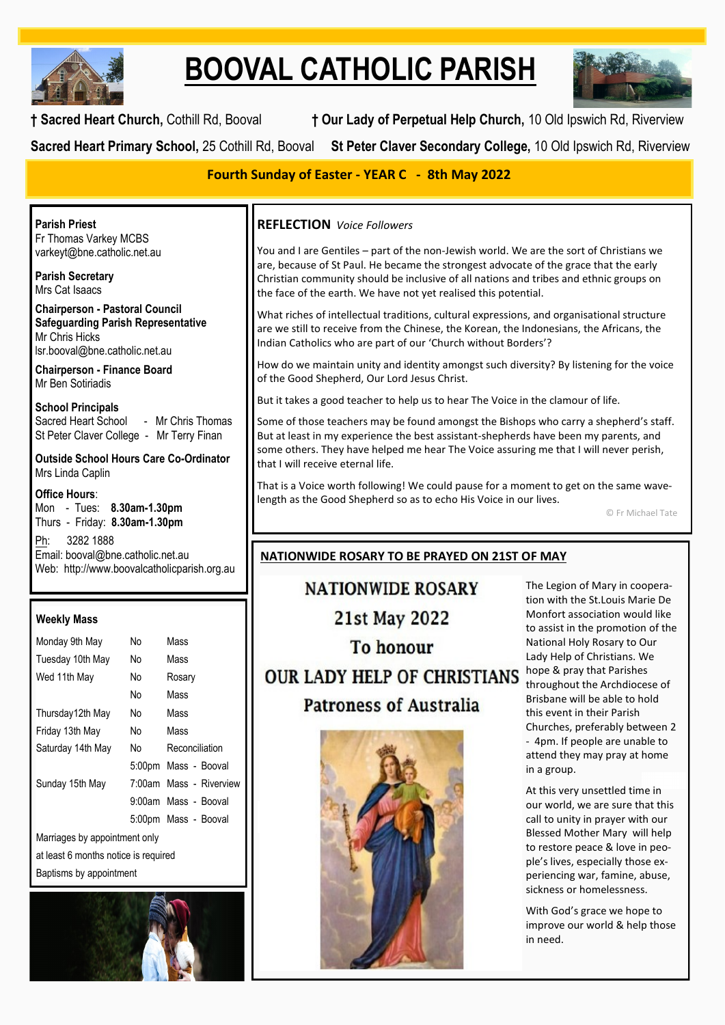

# **BOOVAL CATHOLIC PARISH**



**† Sacred Heart Church,** Cothill Rd, Booval **† Our Lady of Perpetual Help Church,** 10 Old Ipswich Rd, Riverview

**Sacred Heart Primary School,** 25 Cothill Rd, Booval **St Peter Claver Secondary College,** 10 Old Ipswich Rd, Riverview

## **Fourth Sunday of Easter - YEAR C - 8th May 2022**

**Parish Priest** Fr Thomas Varkey MCBS varkeyt@bne.catholic.net.au

**Parish Secretary** Mrs Cat Isaacs

**Chairperson - Pastoral Council Safeguarding Parish Representative** Mr Chris Hicks [lsr.booval@bne.catholic.net.au](mailto:lsr.booval@bne.catholi.net.au)

**Chairperson - Finance Board** Mr Ben Sotiriadis

**School Principals**<br>Sacred Heart School - Mr Chris Thomas St Peter Claver College - Mr Terry Finan

**Outside School Hours Care Co-Ordinator** Mrs Linda Caplin

**Office Hours**: Mon - Tues: **8.30am-1.30pm** Thurs - Friday: **8.30am-1.30pm**

Ph: 3282 1888 Email: booval@bne.catholic.net.au Web: http://www.boovalcatholicparish.org.au

### **Weekly Mass**

| Monday 9th May                       | No  | Mass                    |  |  |
|--------------------------------------|-----|-------------------------|--|--|
| Tuesday 10th May                     | No. | Mass                    |  |  |
| Wed 11th May                         | No  | Rosary                  |  |  |
|                                      | N٥  | Mass                    |  |  |
| Thursday12th May                     | No. | Mass                    |  |  |
| Friday 13th May                      | No. | Mass                    |  |  |
| Saturday 14th May                    | N٥  | Reconciliation          |  |  |
|                                      |     | 5:00pm Mass - Booval    |  |  |
| Sunday 15th May                      |     | 7:00am Mass - Riverview |  |  |
|                                      |     | 9:00am Mass - Booval    |  |  |
|                                      |     | 5:00pm Mass - Booval    |  |  |
| Marriages by appointment only        |     |                         |  |  |
| at least 6 months notice is required |     |                         |  |  |

Baptisms by appointment



# **REFLECTION** *Voice Followers*

You and I are Gentiles – part of the non-Jewish world. We are the sort of Christians we are, because of St Paul. He became the strongest advocate of the grace that the early Christian community should be inclusive of all nations and tribes and ethnic groups on the face of the earth. We have not yet realised this potential.

What riches of intellectual traditions, cultural expressions, and organisational structure are we still to receive from the Chinese, the Korean, the Indonesians, the Africans, the Indian Catholics who are part of our 'Church without Borders'?

How do we maintain unity and identity amongst such diversity? By listening for the voice of the Good Shepherd, Our Lord Jesus Christ.

But it takes a good teacher to help us to hear The Voice in the clamour of life.

Some of those teachers may be found amongst the Bishops who carry a shepherd's staff. But at least in my experience the best assistant-shepherds have been my parents, and some others. They have helped me hear The Voice assuring me that I will never perish, that I will receive eternal life.

That is a Voice worth following! We could pause for a moment to get on the same wavelength as the Good Shepherd so as to echo His Voice in our lives.

© Fr Michael Tate

### **NATIONWIDE ROSARY TO BE PRAYED ON 21ST OF MAY**

**NATIONWIDE ROSARY 21st May 2022 To honour** OUR LADY HELP OF CHRISTIANS hope & pray that Parishes **Patroness of Australia** 



The Legion of Mary in cooperation with the St.Louis Marie De Monfort association would like to assist in the promotion of the National Holy Rosary to Our Lady Help of Christians. We throughout the Archdiocese of Brisbane will be able to hold this event in their Parish Churches, preferably between 2 - 4pm. If people are unable to attend they may pray at home in a group.

At this very unsettled time in our world, we are sure that this call to unity in prayer with our Blessed Mother Mary will help to restore peace & love in people's lives, especially those experiencing war, famine, abuse, sickness or homelessness.

With God's grace we hope to improve our world & help those in need.